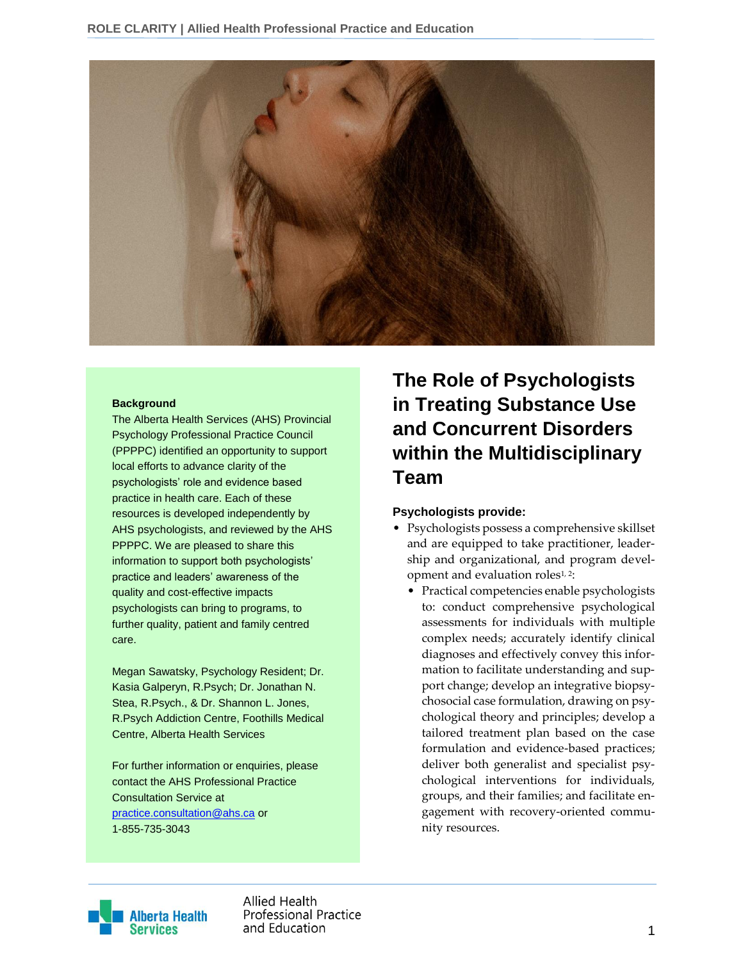

#### **Background**

The Alberta Health Services (AHS) Provincial Psychology Professional Practice Council (PPPPC) identified an opportunity to support local efforts to advance clarity of the psychologists' role and evidence based practice in health care. Each of these resources is developed independently by AHS psychologists, and reviewed by the AHS PPPPC. We are pleased to share this information to support both psychologists' practice and leaders' awareness of the quality and cost-effective impacts psychologists can bring to programs, to further quality, patient and family centred care.

Megan Sawatsky, Psychology Resident; Dr. Kasia Galperyn, R.Psych; Dr. Jonathan N. Stea, R.Psych., & Dr. Shannon L. Jones, R.Psych Addiction Centre, Foothills Medical Centre, Alberta Health Services

For further information or enquiries, please contact the AHS Professional Practice Consultation Service at [practice.consultation@ahs.ca](mailto:practice.consultation@ahs.ca) or 1-855-735-3043

# **The Role of Psychologists in Treating Substance Use and Concurrent Disorders within the Multidisciplinary Team**

#### **Psychologists provide:**

- Psychologists possess a comprehensive skillset and are equipped to take practitioner, leadership and organizational, and program development and evaluation roles<sup>1, 2</sup>:
	- Practical competencies enable psychologists to: conduct comprehensive psychological assessments for individuals with multiple complex needs; accurately identify clinical diagnoses and effectively convey this information to facilitate understanding and support change; develop an integrative biopsychosocial case formulation, drawing on psychological theory and principles; develop a tailored treatment plan based on the case formulation and evidence-based practices; deliver both generalist and specialist psychological interventions for individuals, groups, and their families; and facilitate engagement with recovery-oriented community resources.



Allied Health **Professional Practice** and Education and Education and Education and Education and Education and Education and Education and The Control of the Control of the Control of the Control of the Control of the Control of the Control of the Control of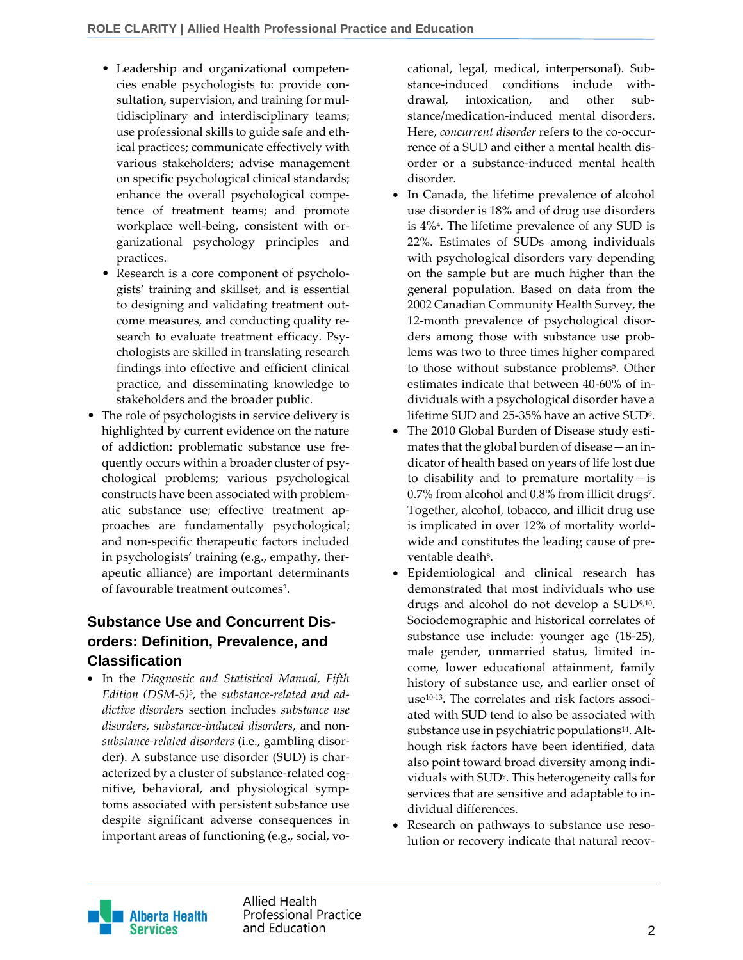- Leadership and organizational competencies enable psychologists to: provide consultation, supervision, and training for multidisciplinary and interdisciplinary teams; use professional skills to guide safe and ethical practices; communicate effectively with various stakeholders; advise management on specific psychological clinical standards; enhance the overall psychological competence of treatment teams; and promote workplace well-being, consistent with organizational psychology principles and practices.
- Research is a core component of psychologists' training and skillset, and is essential to designing and validating treatment outcome measures, and conducting quality research to evaluate treatment efficacy. Psychologists are skilled in translating research findings into effective and efficient clinical practice, and disseminating knowledge to stakeholders and the broader public.
- The role of psychologists in service delivery is highlighted by current evidence on the nature of addiction: problematic substance use frequently occurs within a broader cluster of psychological problems; various psychological constructs have been associated with problematic substance use; effective treatment approaches are fundamentally psychological; and non-specific therapeutic factors included in psychologists' training (e.g., empathy, therapeutic alliance) are important determinants of favourable treatment outcomes<sup>2</sup>.

# **Substance Use and Concurrent Disorders: Definition, Prevalence, and Classification**

 In the *Diagnostic and Statistical Manual, Fifth Edition (DSM-5)*<sup>3</sup> , the *substance-related and addictive disorders* section includes *substance use disorders, substance-induced disorders*, and non*substance-related disorders* (i.e., gambling disorder). A substance use disorder (SUD) is characterized by a cluster of substance-related cognitive, behavioral, and physiological symptoms associated with persistent substance use despite significant adverse consequences in important areas of functioning (e.g., social, vocational, legal, medical, interpersonal). Substance-induced conditions include withdrawal, intoxication, and other substance/medication-induced mental disorders. Here, *concurrent disorder* refers to the co-occurrence of a SUD and either a mental health disorder or a substance-induced mental health disorder.

- In Canada, the lifetime prevalence of alcohol use disorder is 18% and of drug use disorders is 4%<sup>4</sup> . The lifetime prevalence of any SUD is 22%. Estimates of SUDs among individuals with psychological disorders vary depending on the sample but are much higher than the general population. Based on data from the 2002 Canadian Community Health Survey, the 12-month prevalence of psychological disorders among those with substance use problems was two to three times higher compared to those without substance problems<sup>5</sup>. Other estimates indicate that between 40-60% of individuals with a psychological disorder have a lifetime SUD and 25-35% have an active SUD $^{\rm 6}.$
- The 2010 Global Burden of Disease study estimates that the global burden of disease—an indicator of health based on years of life lost due to disability and to premature mortality—is 0.7% from alcohol and 0.8% from illicit drugs<sup>7</sup> . Together, alcohol, tobacco, and illicit drug use is implicated in over 12% of mortality worldwide and constitutes the leading cause of preventable death<sup>8</sup>.
- Epidemiological and clinical research has demonstrated that most individuals who use drugs and alcohol do not develop a SUD9,10 . Sociodemographic and historical correlates of substance use include: younger age (18-25), male gender, unmarried status, limited income, lower educational attainment, family history of substance use, and earlier onset of use10-13. The correlates and risk factors associated with SUD tend to also be associated with substance use in psychiatric populations<sup>14</sup>. Although risk factors have been identified, data also point toward broad diversity among individuals with SUD<sup>9</sup> . This heterogeneity calls for services that are sensitive and adaptable to individual differences.
- Research on pathways to substance use resolution or recovery indicate that natural recov-



Allied Health **Professional Practice** and Education 22 and 2012 12:00 to 22 and 23 and 23 and 23 and 23 and 23 and 23 and 23 and 23 and 23 and 23 and 23 and 23 and 23 and 23 and 23 and 23 and 23 and 23 and 23 and 23 and 23 and 23 and 23 and 23 and 23 and 23 an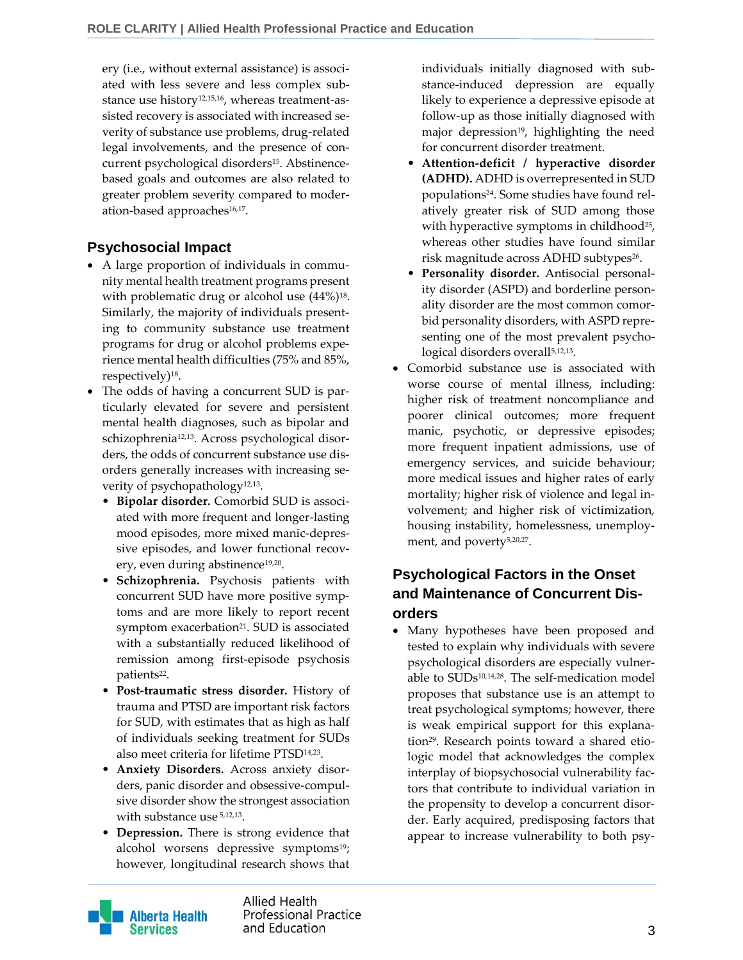ery (i.e., without external assistance) is associated with less severe and less complex substance use history<sup>12,15,16</sup>, whereas treatment-assisted recovery is associated with increased severity of substance use problems, drug-related legal involvements, and the presence of concurrent psychological disorders<sup>15</sup>. Abstinencebased goals and outcomes are also related to greater problem severity compared to moderation-based approaches<sup>16,17</sup>.

# **Psychosocial Impact**

- A large proportion of individuals in community mental health treatment programs present with problematic drug or alcohol use  $(44\%)^{18}$ . Similarly, the majority of individuals presenting to community substance use treatment programs for drug or alcohol problems experience mental health difficulties (75% and 85%, respectively)<sup>18</sup> .
- The odds of having a concurrent SUD is particularly elevated for severe and persistent mental health diagnoses, such as bipolar and schizophrenia12,13. Across psychological disorders, the odds of concurrent substance use disorders generally increases with increasing severity of psychopathology<sup>12,13</sup>.
	- **Bipolar disorder.** Comorbid SUD is associated with more frequent and longer-lasting mood episodes, more mixed manic-depressive episodes, and lower functional recovery, even during abstinence<sup>19,20</sup>.
	- **Schizophrenia.** Psychosis patients with concurrent SUD have more positive symptoms and are more likely to report recent symptom exacerbation<sup>21</sup>. SUD is associated with a substantially reduced likelihood of remission among first-episode psychosis patients<sup>22</sup>.
	- **Post-traumatic stress disorder.** History of trauma and PTSD are important risk factors for SUD, with estimates that as high as half of individuals seeking treatment for SUDs also meet criteria for lifetime PTSD14,23 .
	- **Anxiety Disorders.** Across anxiety disorders, panic disorder and obsessive-compulsive disorder show the strongest association with substance use  $5,12,13$ .
	- **Depression.** There is strong evidence that alcohol worsens depressive symptoms<sup>19</sup>; however, longitudinal research shows that

individuals initially diagnosed with substance-induced depression are equally likely to experience a depressive episode at follow-up as those initially diagnosed with major depression<sup>19</sup>, highlighting the need for concurrent disorder treatment.

- **Attention-deficit / hyperactive disorder (ADHD).** ADHD is overrepresented in SUD populations24. Some studies have found relatively greater risk of SUD among those with hyperactive symptoms in childhood<sup>25</sup>, whereas other studies have found similar risk magnitude across ADHD subtypes<sup>26</sup>.
- **Personality disorder.** Antisocial personality disorder (ASPD) and borderline personality disorder are the most common comorbid personality disorders, with ASPD representing one of the most prevalent psychological disorders overall<sup>5,12,13</sup>.
- Comorbid substance use is associated with worse course of mental illness, including: higher risk of treatment noncompliance and poorer clinical outcomes; more frequent manic, psychotic, or depressive episodes; more frequent inpatient admissions, use of emergency services, and suicide behaviour; more medical issues and higher rates of early mortality; higher risk of violence and legal involvement; and higher risk of victimization, housing instability, homelessness, unemployment, and poverty<sup>5,20,27</sup>.

# **Psychological Factors in the Onset and Maintenance of Concurrent Disorders**

 Many hypotheses have been proposed and tested to explain why individuals with severe psychological disorders are especially vulnerable to SUDs10,14,28. The self-medication model proposes that substance use is an attempt to treat psychological symptoms; however, there is weak empirical support for this explanation29. Research points toward a shared etiologic model that acknowledges the complex interplay of biopsychosocial vulnerability factors that contribute to individual variation in the propensity to develop a concurrent disorder. Early acquired, predisposing factors that appear to increase vulnerability to both psy-



**Allied Health Professional Practice** and Education 3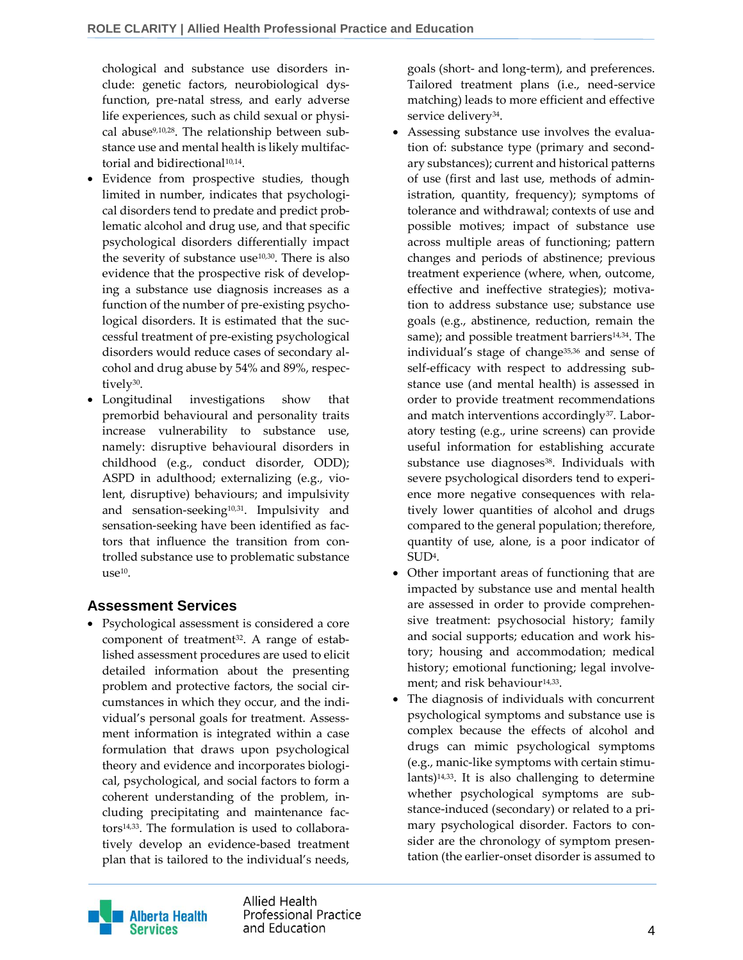chological and substance use disorders include: genetic factors, neurobiological dysfunction, pre-natal stress, and early adverse life experiences, such as child sexual or physical abuse<sup>9,10,28</sup>. The relationship between substance use and mental health is likely multifactorial and bidirectional<sup>10,14</sup>.

- Evidence from prospective studies, though limited in number, indicates that psychological disorders tend to predate and predict problematic alcohol and drug use, and that specific psychological disorders differentially impact the severity of substance use $10,30$ . There is also evidence that the prospective risk of developing a substance use diagnosis increases as a function of the number of pre-existing psychological disorders. It is estimated that the successful treatment of pre-existing psychological disorders would reduce cases of secondary alcohol and drug abuse by 54% and 89%, respectively<sup>30</sup>.
- Longitudinal investigations show that premorbid behavioural and personality traits increase vulnerability to substance use, namely: disruptive behavioural disorders in childhood (e.g., conduct disorder, ODD); ASPD in adulthood; externalizing (e.g., violent, disruptive) behaviours; and impulsivity and sensation-seeking<sup>10,31</sup>. Impulsivity and sensation-seeking have been identified as factors that influence the transition from controlled substance use to problematic substance use<sup>10</sup> .

# **Assessment Services**

 Psychological assessment is considered a core component of treatment<sup>32</sup>. A range of established assessment procedures are used to elicit detailed information about the presenting problem and protective factors, the social circumstances in which they occur, and the individual's personal goals for treatment. Assessment information is integrated within a case formulation that draws upon psychological theory and evidence and incorporates biological, psychological, and social factors to form a coherent understanding of the problem, including precipitating and maintenance factors14,33. The formulation is used to collaboratively develop an evidence-based treatment plan that is tailored to the individual's needs,

goals (short- and long-term), and preferences. Tailored treatment plans (i.e., need-service matching) leads to more efficient and effective service delivery<sup>34</sup>.

- Assessing substance use involves the evaluation of: substance type (primary and secondary substances); current and historical patterns of use (first and last use, methods of administration, quantity, frequency); symptoms of tolerance and withdrawal; contexts of use and possible motives; impact of substance use across multiple areas of functioning; pattern changes and periods of abstinence; previous treatment experience (where, when, outcome, effective and ineffective strategies); motivation to address substance use; substance use goals (e.g., abstinence, reduction, remain the same); and possible treatment barriers<sup>14,34</sup>. The individual's stage of change<sup>35,36</sup> and sense of self-efficacy with respect to addressing substance use (and mental health) is assessed in order to provide treatment recommendations and match interventions accordingly<sup>37</sup>. Laboratory testing (e.g., urine screens) can provide useful information for establishing accurate substance use diagnoses<sup>38</sup>. Individuals with severe psychological disorders tend to experience more negative consequences with relatively lower quantities of alcohol and drugs compared to the general population; therefore, quantity of use, alone, is a poor indicator of SUD<sup>4</sup> .
- Other important areas of functioning that are impacted by substance use and mental health are assessed in order to provide comprehensive treatment: psychosocial history; family and social supports; education and work history; housing and accommodation; medical history; emotional functioning; legal involvement; and risk behaviour $^{14,33}$ .
- The diagnosis of individuals with concurrent psychological symptoms and substance use is complex because the effects of alcohol and drugs can mimic psychological symptoms (e.g., manic-like symptoms with certain stimulants)14,33. It is also challenging to determine whether psychological symptoms are substance-induced (secondary) or related to a primary psychological disorder. Factors to consider are the chronology of symptom presentation (the earlier-onset disorder is assumed to



Allied Health **Professional Practice** and Education and Education and Education and Education and Education and Education and Education and A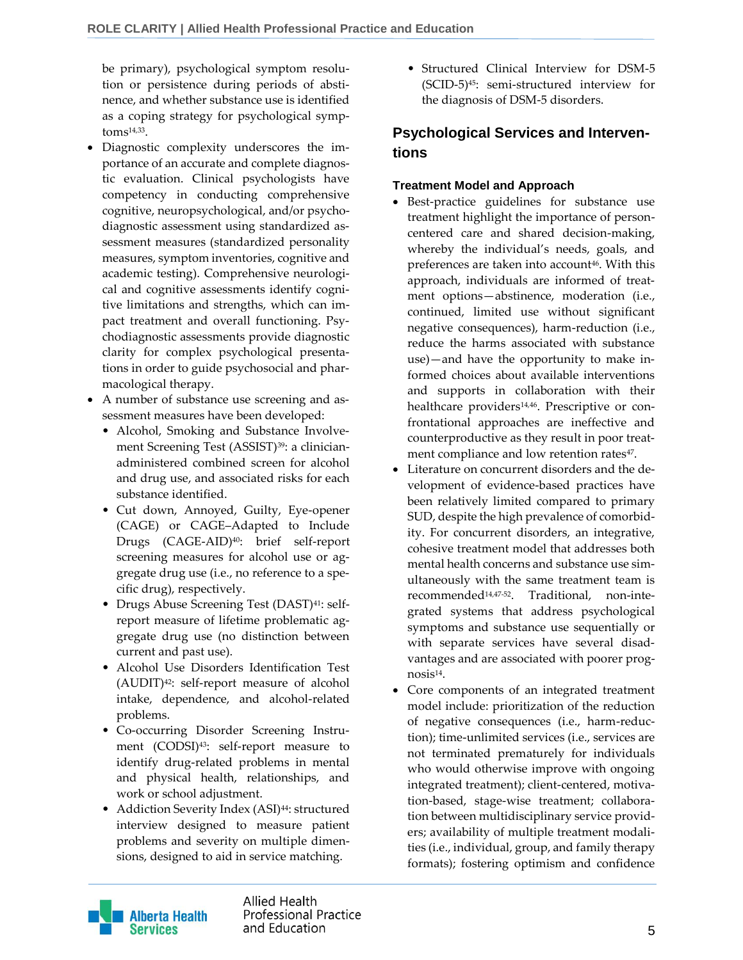be primary), psychological symptom resolution or persistence during periods of abstinence, and whether substance use is identified as a coping strategy for psychological symp $toms<sup>14,33</sup>$ .

- Diagnostic complexity underscores the importance of an accurate and complete diagnostic evaluation. Clinical psychologists have competency in conducting comprehensive cognitive, neuropsychological, and/or psychodiagnostic assessment using standardized assessment measures (standardized personality measures, symptom inventories, cognitive and academic testing). Comprehensive neurological and cognitive assessments identify cognitive limitations and strengths, which can impact treatment and overall functioning. Psychodiagnostic assessments provide diagnostic clarity for complex psychological presentations in order to guide psychosocial and pharmacological therapy.
- A number of substance use screening and assessment measures have been developed:
	- Alcohol, Smoking and Substance Involvement Screening Test (ASSIST)<sup>39</sup>: a clinicianadministered combined screen for alcohol and drug use, and associated risks for each substance identified.
	- Cut down, Annoyed, Guilty, Eye-opener (CAGE) or CAGE–Adapted to Include Drugs (CAGE-AID)40: brief self-report screening measures for alcohol use or aggregate drug use (i.e., no reference to a specific drug), respectively.
	- Drugs Abuse Screening Test (DAST)<sup>41</sup>: selfreport measure of lifetime problematic aggregate drug use (no distinction between current and past use).
	- Alcohol Use Disorders Identification Test (AUDIT)42: self-report measure of alcohol intake, dependence, and alcohol-related problems.
	- Co-occurring Disorder Screening Instrument (CODSI)<sup>43</sup>: self-report measure to identify drug-related problems in mental and physical health, relationships, and work or school adjustment.
	- Addiction Severity Index (ASI)<sup>44</sup>: structured interview designed to measure patient problems and severity on multiple dimensions, designed to aid in service matching.

• Structured Clinical Interview for DSM-5 (SCID-5)45: semi-structured interview for the diagnosis of DSM-5 disorders.

# **Psychological Services and Interventions**

### **Treatment Model and Approach**

- Best-practice guidelines for substance use treatment highlight the importance of personcentered care and shared decision-making, whereby the individual's needs, goals, and preferences are taken into account<sup>46</sup>. With this approach, individuals are informed of treatment options—abstinence, moderation (i.e., continued, limited use without significant negative consequences), harm-reduction (i.e., reduce the harms associated with substance use)—and have the opportunity to make informed choices about available interventions and supports in collaboration with their healthcare providers<sup>14,46</sup>. Prescriptive or confrontational approaches are ineffective and counterproductive as they result in poor treatment compliance and low retention rates<sup>47</sup>.
- Literature on concurrent disorders and the development of evidence-based practices have been relatively limited compared to primary SUD, despite the high prevalence of comorbidity. For concurrent disorders, an integrative, cohesive treatment model that addresses both mental health concerns and substance use simultaneously with the same treatment team is recommended14,47-52 . Traditional, non-integrated systems that address psychological symptoms and substance use sequentially or with separate services have several disadvantages and are associated with poorer prognosis<sup>14</sup> .
- Core components of an integrated treatment model include: prioritization of the reduction of negative consequences (i.e., harm-reduction); time-unlimited services (i.e., services are not terminated prematurely for individuals who would otherwise improve with ongoing integrated treatment); client-centered, motivation-based, stage-wise treatment; collaboration between multidisciplinary service providers; availability of multiple treatment modalities (i.e., individual, group, and family therapy formats); fostering optimism and confidence

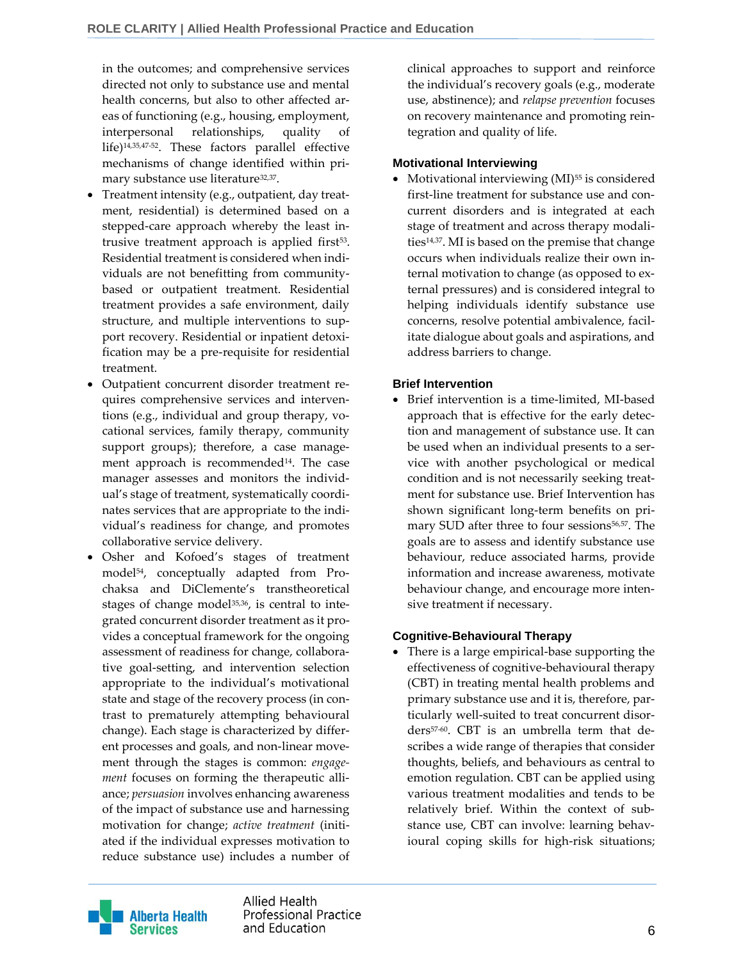in the outcomes; and comprehensive services directed not only to substance use and mental health concerns, but also to other affected areas of functioning (e.g., housing, employment, interpersonal relationships, quality of life)14,35,47-52. These factors parallel effective mechanisms of change identified within primary substance use literature<sup>32,37</sup>.

- Treatment intensity (e.g., outpatient, day treatment, residential) is determined based on a stepped-care approach whereby the least intrusive treatment approach is applied first<sup>53</sup>. Residential treatment is considered when individuals are not benefitting from communitybased or outpatient treatment. Residential treatment provides a safe environment, daily structure, and multiple interventions to support recovery. Residential or inpatient detoxification may be a pre-requisite for residential treatment.
- Outpatient concurrent disorder treatment requires comprehensive services and interventions (e.g., individual and group therapy, vocational services, family therapy, community support groups); therefore, a case management approach is recommended<sup>14</sup>. The case manager assesses and monitors the individual's stage of treatment, systematically coordinates services that are appropriate to the individual's readiness for change, and promotes collaborative service delivery.
- Osher and Kofoed's stages of treatment model54, conceptually adapted from Prochaksa and DiClemente's transtheoretical stages of change model<sup>35,36</sup>, is central to integrated concurrent disorder treatment as it provides a conceptual framework for the ongoing assessment of readiness for change, collaborative goal-setting, and intervention selection appropriate to the individual's motivational state and stage of the recovery process (in contrast to prematurely attempting behavioural change). Each stage is characterized by different processes and goals, and non-linear movement through the stages is common: *engagement* focuses on forming the therapeutic alliance; *persuasion* involves enhancing awareness of the impact of substance use and harnessing motivation for change; *active treatment* (initiated if the individual expresses motivation to reduce substance use) includes a number of

clinical approaches to support and reinforce the individual's recovery goals (e.g., moderate use, abstinence); and *relapse prevention* focuses on recovery maintenance and promoting reintegration and quality of life.

#### **Motivational Interviewing**

Motivational interviewing (MI)<sup>55</sup> is considered first-line treatment for substance use and concurrent disorders and is integrated at each stage of treatment and across therapy modalities14,37. MI is based on the premise that change occurs when individuals realize their own internal motivation to change (as opposed to external pressures) and is considered integral to helping individuals identify substance use concerns, resolve potential ambivalence, facilitate dialogue about goals and aspirations, and address barriers to change.

### **Brief Intervention**

 Brief intervention is a time-limited, MI-based approach that is effective for the early detection and management of substance use. It can be used when an individual presents to a service with another psychological or medical condition and is not necessarily seeking treatment for substance use. Brief Intervention has shown significant long-term benefits on primary SUD after three to four sessions<sup>56,57</sup>. The goals are to assess and identify substance use behaviour, reduce associated harms, provide information and increase awareness, motivate behaviour change, and encourage more intensive treatment if necessary.

### **Cognitive-Behavioural Therapy**

 There is a large empirical-base supporting the effectiveness of cognitive-behavioural therapy (CBT) in treating mental health problems and primary substance use and it is, therefore, particularly well-suited to treat concurrent disorders57-60. CBT is an umbrella term that describes a wide range of therapies that consider thoughts, beliefs, and behaviours as central to emotion regulation. CBT can be applied using various treatment modalities and tends to be relatively brief. Within the context of substance use, CBT can involve: learning behavioural coping skills for high-risk situations;



Allied Health **Professional Practice** and Education 6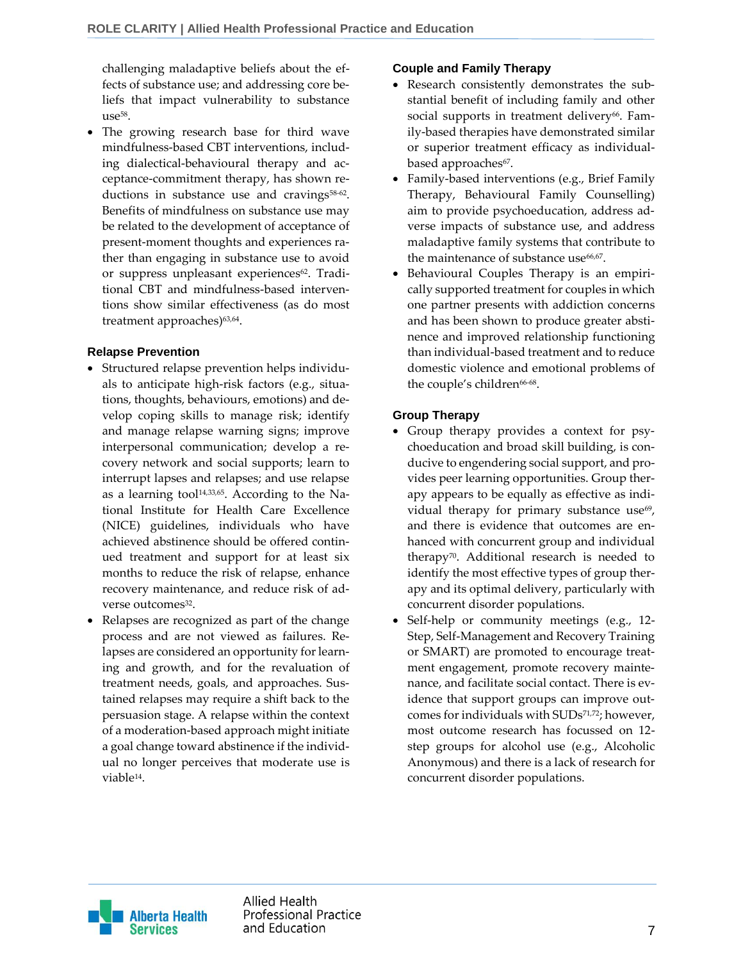challenging maladaptive beliefs about the effects of substance use; and addressing core beliefs that impact vulnerability to substance use<sup>58</sup>.

 The growing research base for third wave mindfulness-based CBT interventions, including dialectical-behavioural therapy and acceptance-commitment therapy, has shown reductions in substance use and cravings<sup>58-62</sup>. Benefits of mindfulness on substance use may be related to the development of acceptance of present-moment thoughts and experiences rather than engaging in substance use to avoid or suppress unpleasant experiences<sup>62</sup>. Traditional CBT and mindfulness-based interventions show similar effectiveness (as do most treatment approaches)<sup>63,64</sup>.

#### **Relapse Prevention**

- Structured relapse prevention helps individuals to anticipate high-risk factors (e.g., situations, thoughts, behaviours, emotions) and develop coping skills to manage risk; identify and manage relapse warning signs; improve interpersonal communication; develop a recovery network and social supports; learn to interrupt lapses and relapses; and use relapse as a learning tool $14,33,65$ . According to the National Institute for Health Care Excellence (NICE) guidelines, individuals who have achieved abstinence should be offered continued treatment and support for at least six months to reduce the risk of relapse, enhance recovery maintenance, and reduce risk of adverse outcomes<sup>32</sup>.
- Relapses are recognized as part of the change process and are not viewed as failures. Relapses are considered an opportunity for learning and growth, and for the revaluation of treatment needs, goals, and approaches. Sustained relapses may require a shift back to the persuasion stage. A relapse within the context of a moderation-based approach might initiate a goal change toward abstinence if the individual no longer perceives that moderate use is viable<sup>14</sup> .

### **Couple and Family Therapy**

- Research consistently demonstrates the substantial benefit of including family and other social supports in treatment delivery<sup>66</sup>. Family-based therapies have demonstrated similar or superior treatment efficacy as individualbased approaches<sup>67</sup>.
- Family-based interventions (e.g., Brief Family Therapy, Behavioural Family Counselling) aim to provide psychoeducation, address adverse impacts of substance use, and address maladaptive family systems that contribute to the maintenance of substance use<sup>66,67</sup>.
- Behavioural Couples Therapy is an empirically supported treatment for couples in which one partner presents with addiction concerns and has been shown to produce greater abstinence and improved relationship functioning than individual-based treatment and to reduce domestic violence and emotional problems of the couple's children<sup>66-68</sup>.

### **Group Therapy**

- Group therapy provides a context for psychoeducation and broad skill building, is conducive to engendering social support, and provides peer learning opportunities. Group therapy appears to be equally as effective as individual therapy for primary substance use<sup>69</sup>, and there is evidence that outcomes are enhanced with concurrent group and individual therapy70. Additional research is needed to identify the most effective types of group therapy and its optimal delivery, particularly with concurrent disorder populations.
- Self-help or community meetings (e.g., 12-Step, Self-Management and Recovery Training or SMART) are promoted to encourage treatment engagement, promote recovery maintenance, and facilitate social contact. There is evidence that support groups can improve outcomes for individuals with SUDs71,72; however, most outcome research has focussed on 12 step groups for alcohol use (e.g., Alcoholic Anonymous) and there is a lack of research for concurrent disorder populations.



Allied Health **Professional Practice** and Education and The Second Second Second Second Second Second Second Second Second Second Second Second Second Second Second Second Second Second Second Second Second Second Second Second Second Second Second Second Seco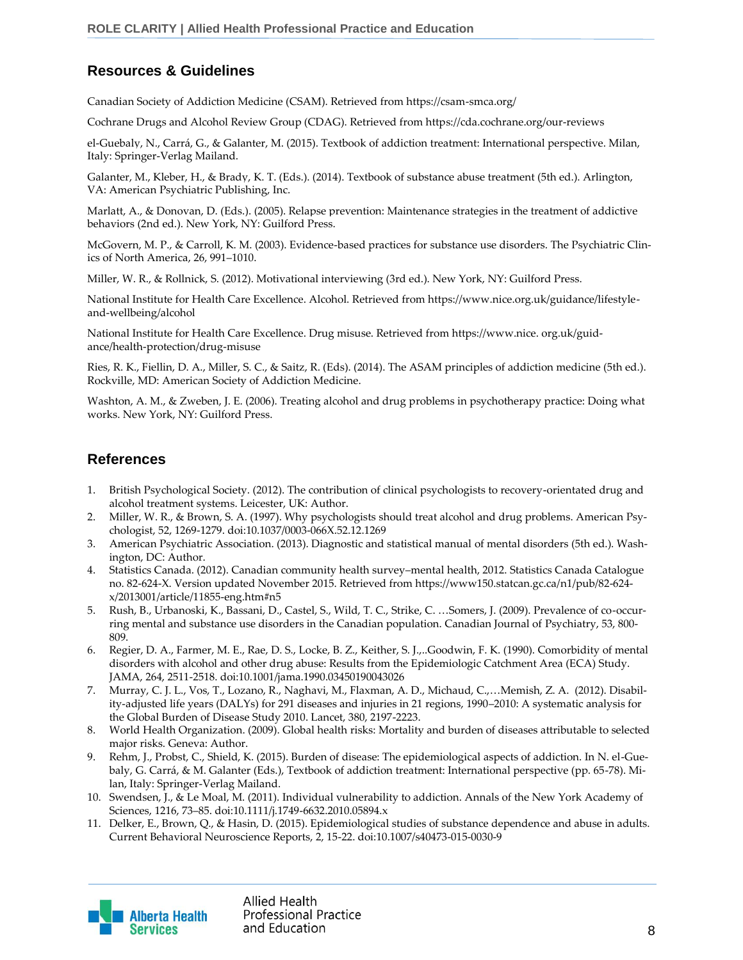# **Resources & Guidelines**

Canadian Society of Addiction Medicine (CSAM). Retrieved from https://csam-smca.org/

Cochrane Drugs and Alcohol Review Group (CDAG). Retrieved from https://cda.cochrane.org/our-reviews

el-Guebaly, N., Carrá, G., & Galanter, M. (2015). Textbook of addiction treatment: International perspective. Milan, Italy: Springer-Verlag Mailand.

Galanter, M., Kleber, H., & Brady, K. T. (Eds.). (2014). Textbook of substance abuse treatment (5th ed.). Arlington, VA: American Psychiatric Publishing, Inc.

Marlatt, A., & Donovan, D. (Eds.). (2005). Relapse prevention: Maintenance strategies in the treatment of addictive behaviors (2nd ed.). New York, NY: Guilford Press.

McGovern, M. P., & Carroll, K. M. (2003). Evidence-based practices for substance use disorders. The Psychiatric Clinics of North America, 26, 991–1010.

Miller, W. R., & Rollnick, S. (2012). Motivational interviewing (3rd ed.). New York, NY: Guilford Press.

National Institute for Health Care Excellence. Alcohol. Retrieved from https://www.nice.org.uk/guidance/lifestyleand-wellbeing/alcohol

National Institute for Health Care Excellence. Drug misuse. Retrieved from https://www.nice. org.uk/guidance/health-protection/drug-misuse

Ries, R. K., Fiellin, D. A., Miller, S. C., & Saitz, R. (Eds). (2014). The ASAM principles of addiction medicine (5th ed.). Rockville, MD: American Society of Addiction Medicine.

Washton, A. M., & Zweben, J. E. (2006). Treating alcohol and drug problems in psychotherapy practice: Doing what works. New York, NY: Guilford Press.

## **References**

- 1. British Psychological Society. (2012). The contribution of clinical psychologists to recovery-orientated drug and alcohol treatment systems. Leicester, UK: Author.
- 2. Miller, W. R., & Brown, S. A. (1997). Why psychologists should treat alcohol and drug problems. American Psychologist, 52, 1269-1279. doi:10.1037/0003-066X.52.12.1269
- 3. American Psychiatric Association. (2013). Diagnostic and statistical manual of mental disorders (5th ed.). Washington, DC: Author.
- 4. Statistics Canada. (2012). Canadian community health survey–mental health, 2012. Statistics Canada Catalogue no. 82-624-X. Version updated November 2015. Retrieved from https://www150.statcan.gc.ca/n1/pub/82-624 x/2013001/article/11855-eng.htm#n5
- 5. Rush, B., Urbanoski, K., Bassani, D., Castel, S., Wild, T. C., Strike, C. …Somers, J. (2009). Prevalence of co-occurring mental and substance use disorders in the Canadian population. Canadian Journal of Psychiatry, 53, 800- 809.
- 6. Regier, D. A., Farmer, M. E., Rae, D. S., Locke, B. Z., Keither, S. J.,..Goodwin, F. K. (1990). Comorbidity of mental disorders with alcohol and other drug abuse: Results from the Epidemiologic Catchment Area (ECA) Study. JAMA, 264, 2511-2518. doi:10.1001/jama.1990.03450190043026
- 7. Murray, C. J. L., Vos, T., Lozano, R., Naghavi, M., Flaxman, A. D., Michaud, C.,…Memish, Z. A. (2012). Disability-adjusted life years (DALYs) for 291 diseases and injuries in 21 regions, 1990–2010: A systematic analysis for the Global Burden of Disease Study 2010. Lancet, 380, 2197-2223.
- 8. World Health Organization. (2009). Global health risks: Mortality and burden of diseases attributable to selected major risks. Geneva: Author.
- 9. Rehm, J., Probst, C., Shield, K. (2015). Burden of disease: The epidemiological aspects of addiction. In N. el-Guebaly, G. Carrá, & M. Galanter (Eds.), Textbook of addiction treatment: International perspective (pp. 65-78). Milan, Italy: Springer-Verlag Mailand.
- 10. Swendsen, J., & Le Moal, M. (2011). Individual vulnerability to addiction. Annals of the New York Academy of Sciences, 1216, 73–85. doi:10.1111/j.1749-6632.2010.05894.x
- 11. Delker, E., Brown, Q., & Hasin, D. (2015). Epidemiological studies of substance dependence and abuse in adults. Current Behavioral Neuroscience Reports, 2, 15-22. doi:10.1007/s40473-015-0030-9

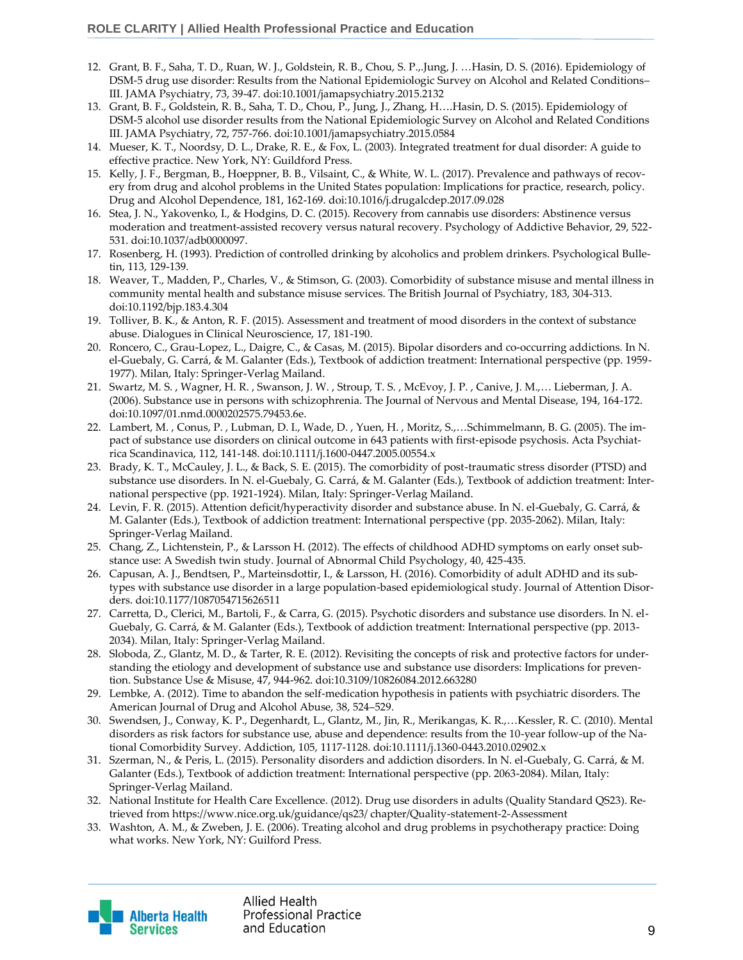- 12. Grant, B. F., Saha, T. D., Ruan, W. J., Goldstein, R. B., Chou, S. P.,.Jung, J. …Hasin, D. S. (2016). Epidemiology of DSM-5 drug use disorder: Results from the National Epidemiologic Survey on Alcohol and Related Conditions– III. JAMA Psychiatry, 73, 39-47. doi:10.1001/jamapsychiatry.2015.2132
- 13. Grant, B. F., Goldstein, R. B., Saha, T. D., Chou, P., Jung, J., Zhang, H….Hasin, D. S. (2015). Epidemiology of DSM-5 alcohol use disorder results from the National Epidemiologic Survey on Alcohol and Related Conditions III. JAMA Psychiatry, 72, 757-766. doi:10.1001/jamapsychiatry.2015.0584
- 14. Mueser, K. T., Noordsy, D. L., Drake, R. E., & Fox, L. (2003). Integrated treatment for dual disorder: A guide to effective practice. New York, NY: Guildford Press.
- 15. Kelly, J. F., Bergman, B., Hoeppner, B. B., Vilsaint, C., & White, W. L. (2017). Prevalence and pathways of recovery from drug and alcohol problems in the United States population: Implications for practice, research, policy. Drug and Alcohol Dependence, 181, 162-169. doi:10.1016/j.drugalcdep.2017.09.028
- 16. Stea, J. N., Yakovenko, I., & Hodgins, D. C. (2015). Recovery from cannabis use disorders: Abstinence versus moderation and treatment-assisted recovery versus natural recovery. Psychology of Addictive Behavior, 29, 522- 531. doi:10.1037/adb0000097.
- 17. Rosenberg, H. (1993). Prediction of controlled drinking by alcoholics and problem drinkers. Psychological Bulletin, 113, 129-139.
- 18. Weaver, T., Madden, P., Charles, V., & Stimson, G. (2003). Comorbidity of substance misuse and mental illness in community mental health and substance misuse services. The British Journal of Psychiatry, 183, 304-313. doi:10.1192/bjp.183.4.304
- 19. Tolliver, B. K., & Anton, R. F. (2015). Assessment and treatment of mood disorders in the context of substance abuse. Dialogues in Clinical Neuroscience, 17, 181-190.
- 20. Roncero, C., Grau-Lopez, L., Daigre, C., & Casas, M. (2015). Bipolar disorders and co-occurring addictions. In N. el-Guebaly, G. Carrá, & M. Galanter (Eds.), Textbook of addiction treatment: International perspective (pp. 1959- 1977). Milan, Italy: Springer-Verlag Mailand.
- 21. Swartz, M. S. , Wagner, H. R. , Swanson, J. W. , Stroup, T. S. , McEvoy, J. P. , Canive, J. M.,… Lieberman, J. A. (2006). Substance use in persons with schizophrenia. The Journal of Nervous and Mental Disease, 194, 164-172. doi:10.1097/01.nmd.0000202575.79453.6e.
- 22. Lambert, M. , Conus, P. , Lubman, D. I., Wade, D. , Yuen, H. , Moritz, S.,…Schimmelmann, B. G. (2005). The impact of substance use disorders on clinical outcome in 643 patients with first-episode psychosis. Acta Psychiatrica Scandinavica, 112, 141-148. doi:10.1111/j.1600-0447.2005.00554.x
- 23. Brady, K. T., McCauley, J. L., & Back, S. E. (2015). The comorbidity of post-traumatic stress disorder (PTSD) and substance use disorders. In N. el-Guebaly, G. Carrá, & M. Galanter (Eds.), Textbook of addiction treatment: International perspective (pp. 1921-1924). Milan, Italy: Springer-Verlag Mailand.
- 24. Levin, F. R. (2015). Attention deficit/hyperactivity disorder and substance abuse. In N. el-Guebaly, G. Carrá, & M. Galanter (Eds.), Textbook of addiction treatment: International perspective (pp. 2035-2062). Milan, Italy: Springer-Verlag Mailand.
- 25. Chang, Z., Lichtenstein, P., & Larsson H. (2012). The effects of childhood ADHD symptoms on early onset substance use: A Swedish twin study. Journal of Abnormal Child Psychology, 40, 425-435.
- 26. Capusan, A. J., Bendtsen, P., Marteinsdottir, I., & Larsson, H. (2016). Comorbidity of adult ADHD and its subtypes with substance use disorder in a large population-based epidemiological study. Journal of Attention Disorders. doi:10.1177/1087054715626511
- 27. Carretta, D., Clerici, M., Bartoli, F., & Carra, G. (2015). Psychotic disorders and substance use disorders. In N. el-Guebaly, G. Carrá, & M. Galanter (Eds.), Textbook of addiction treatment: International perspective (pp. 2013- 2034). Milan, Italy: Springer-Verlag Mailand.
- 28. Sloboda, Z., Glantz, M. D., & Tarter, R. E. (2012). Revisiting the concepts of risk and protective factors for understanding the etiology and development of substance use and substance use disorders: Implications for prevention. Substance Use & Misuse, 47, 944-962. doi:10.3109/10826084.2012.663280
- 29. Lembke, A. (2012). Time to abandon the self-medication hypothesis in patients with psychiatric disorders. The American Journal of Drug and Alcohol Abuse, 38, 524–529.
- 30. Swendsen, J., Conway, K. P., Degenhardt, L., Glantz, M., Jin, R., Merikangas, K. R.,…Kessler, R. C. (2010). Mental disorders as risk factors for substance use, abuse and dependence: results from the 10-year follow-up of the National Comorbidity Survey. Addiction, 105, 1117-1128. doi:10.1111/j.1360-0443.2010.02902.x
- 31. Szerman, N., & Peris, L. (2015). Personality disorders and addiction disorders. In N. el-Guebaly, G. Carrá, & M. Galanter (Eds.), Textbook of addiction treatment: International perspective (pp. 2063-2084). Milan, Italy: Springer-Verlag Mailand.
- 32. National Institute for Health Care Excellence. (2012). Drug use disorders in adults (Quality Standard QS23). Retrieved from https://www.nice.org.uk/guidance/qs23/ chapter/Quality-statement-2-Assessment
- 33. Washton, A. M., & Zweben, J. E. (2006). Treating alcohol and drug problems in psychotherapy practice: Doing what works. New York, NY: Guilford Press.

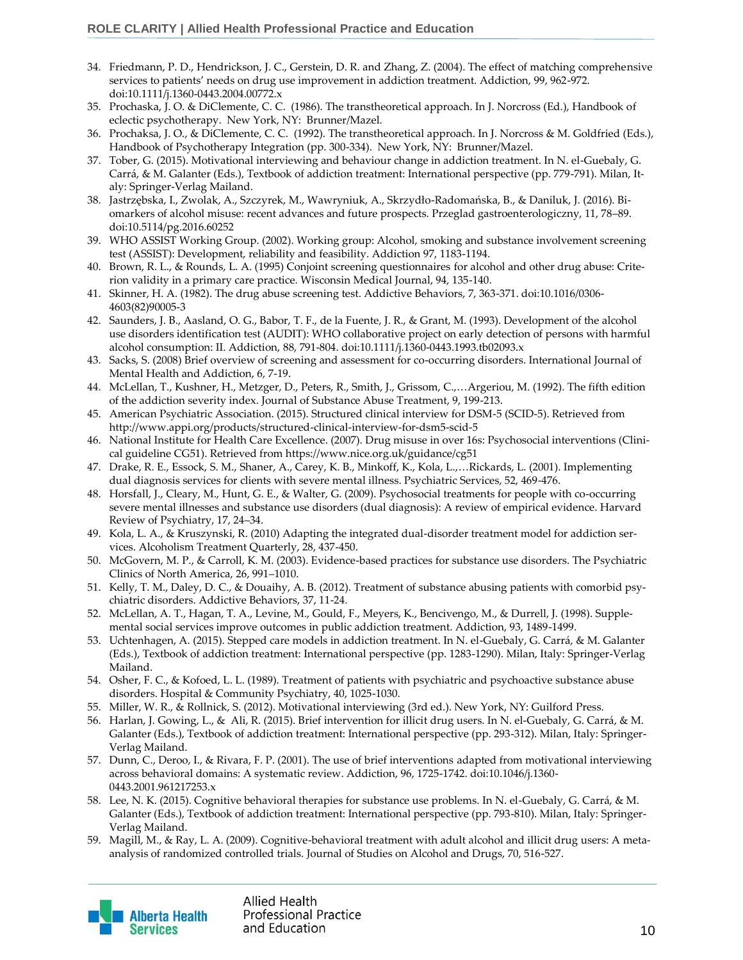- 34. Friedmann, P. D., Hendrickson, J. C., Gerstein, D. R. and Zhang, Z. (2004). The effect of matching comprehensive services to patients' needs on drug use improvement in addiction treatment. Addiction, 99, 962-972. doi:10.1111/j.1360-0443.2004.00772.x
- 35. Prochaska, J. O. & DiClemente, C. C. (1986). The transtheoretical approach. In J. Norcross (Ed.), Handbook of eclectic psychotherapy. New York, NY: Brunner/Mazel.
- 36. Prochaksa, J. O., & DiClemente, C. C. (1992). The transtheoretical approach. In J. Norcross & M. Goldfried (Eds.), Handbook of Psychotherapy Integration (pp. 300-334). New York, NY: Brunner/Mazel.
- 37. Tober, G. (2015). Motivational interviewing and behaviour change in addiction treatment. In N. el-Guebaly, G. Carrá, & M. Galanter (Eds.), Textbook of addiction treatment: International perspective (pp. 779-791). Milan, Italy: Springer-Verlag Mailand.
- 38. Jastrzębska, I., Zwolak, A., Szczyrek, M., Wawryniuk, A., Skrzydło-Radomańska, B., & Daniluk, J. (2016). Biomarkers of alcohol misuse: recent advances and future prospects. Przeglad gastroenterologiczny, 11, 78–89. doi:10.5114/pg.2016.60252
- 39. WHO ASSIST Working Group. (2002). Working group: Alcohol, smoking and substance involvement screening test (ASSIST): Development, reliability and feasibility. Addiction 97, 1183-1194.
- 40. Brown, R. L., & Rounds, L. A. (1995) Conjoint screening questionnaires for alcohol and other drug abuse: Criterion validity in a primary care practice. Wisconsin Medical Journal, 94, 135-140.
- 41. Skinner, H. A. (1982). The drug abuse screening test. Addictive Behaviors, 7, 363-371. doi:10.1016/0306- 4603(82)90005-3
- 42. Saunders, J. B., Aasland, O. G., Babor, T. F., de la Fuente, J. R., & Grant, M. (1993). Development of the alcohol use disorders identification test (AUDIT): WHO collaborative project on early detection of persons with harmful alcohol consumption: II. Addiction, 88, 791-804. doi:10.1111/j.1360-0443.1993.tb02093.x
- 43. Sacks, S. (2008) Brief overview of screening and assessment for co-occurring disorders. International Journal of Mental Health and Addiction, 6, 7-19.
- 44. McLellan, T., Kushner, H., Metzger, D., Peters, R., Smith, J., Grissom, C.,…Argeriou, M. (1992). The fifth edition of the addiction severity index. Journal of Substance Abuse Treatment, 9, 199-213.
- 45. American Psychiatric Association. (2015). Structured clinical interview for DSM-5 (SCID-5). Retrieved from http://www.appi.org/products/structured-clinical-interview-for-dsm5-scid-5
- 46. National Institute for Health Care Excellence. (2007). Drug misuse in over 16s: Psychosocial interventions (Clinical guideline CG51). Retrieved from https://www.nice.org.uk/guidance/cg51
- 47. Drake, R. E., Essock, S. M., Shaner, A., Carey, K. B., Minkoff, K., Kola, L.,…Rickards, L. (2001). Implementing dual diagnosis services for clients with severe mental illness. Psychiatric Services, 52, 469-476.
- 48. Horsfall, J., Cleary, M., Hunt, G. E., & Walter, G. (2009). Psychosocial treatments for people with co-occurring severe mental illnesses and substance use disorders (dual diagnosis): A review of empirical evidence. Harvard Review of Psychiatry, 17, 24–34.
- 49. Kola, L. A., & Kruszynski, R. (2010) Adapting the integrated dual-disorder treatment model for addiction services. Alcoholism Treatment Quarterly, 28, 437-450.
- 50. McGovern, M. P., & Carroll, K. M. (2003). Evidence-based practices for substance use disorders. The Psychiatric Clinics of North America, 26, 991–1010.
- 51. Kelly, T. M., Daley, D. C., & Douaihy, A. B. (2012). Treatment of substance abusing patients with comorbid psychiatric disorders. Addictive Behaviors, 37, 11-24.
- 52. McLellan, A. T., Hagan, T. A., Levine, M., Gould, F., Meyers, K., Bencivengo, M., & Durrell, J. (1998). Supplemental social services improve outcomes in public addiction treatment. Addiction, 93, 1489-1499.
- 53. Uchtenhagen, A. (2015). Stepped care models in addiction treatment. In N. el-Guebaly, G. Carrá, & M. Galanter (Eds.), Textbook of addiction treatment: International perspective (pp. 1283-1290). Milan, Italy: Springer-Verlag Mailand.
- 54. Osher, F. C., & Kofoed, L. L. (1989). Treatment of patients with psychiatric and psychoactive substance abuse disorders. Hospital & Community Psychiatry, 40, 1025-1030.
- 55. Miller, W. R., & Rollnick, S. (2012). Motivational interviewing (3rd ed.). New York, NY: Guilford Press.
- 56. Harlan, J. Gowing, L., & Ali, R. (2015). Brief intervention for illicit drug users. In N. el-Guebaly, G. Carrá, & M. Galanter (Eds.), Textbook of addiction treatment: International perspective (pp. 293-312). Milan, Italy: Springer-Verlag Mailand.
- 57. Dunn, C., Deroo, I., & Rivara, F. P. (2001). The use of brief interventions adapted from motivational interviewing across behavioral domains: A systematic review. Addiction, 96, 1725-1742. doi:10.1046/j.1360- 0443.2001.961217253.x
- 58. Lee, N. K. (2015). Cognitive behavioral therapies for substance use problems. In N. el-Guebaly, G. Carrá, & M. Galanter (Eds.), Textbook of addiction treatment: International perspective (pp. 793-810). Milan, Italy: Springer-Verlag Mailand.
- 59. Magill, M., & Ray, L. A. (2009). Cognitive-behavioral treatment with adult alcohol and illicit drug users: A metaanalysis of randomized controlled trials. Journal of Studies on Alcohol and Drugs, 70, 516-527.